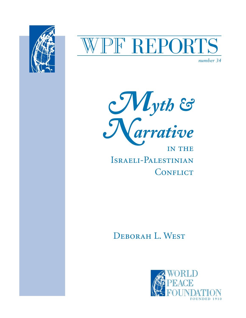

# PF REPORTS

*number 34*



IN THE Israeli-Palestinian CONFLICT

Deborah L. West

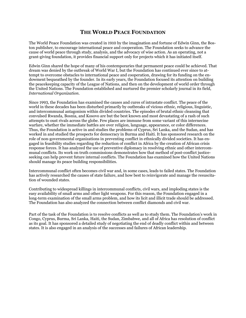#### **THE WORLD PEACE FOUNDATION**

The World Peace Foundation was created in 1910 by the imagination and fortune of Edwin Ginn, the Boston publisher, to encourage international peace and cooperation. The Foundation seeks to advance the cause of world peace through study, analysis, and the advocacy of wise action. As an operating, not a grant-giving foundation, it provides financial support only for projects which it has initiated itself.

Edwin Ginn shared the hope of many of his contemporaries that permanent peace could be achieved. That dream was denied by the outbreak of World War I, but the Foundation has continued ever since to attempt to overcome obstacles to international peace and cooperation, drawing for its funding on the endowment bequeathed by the founder. In its early years, the Foundation focused its attention on building the peacekeeping capacity of the League of Nations, and then on the development of world order through the United Nations. The Foundation established and nurtured the premier scholarly journal in its field, *International Organization*.

Since 1993, the Foundation has examined the causes and cures of intrastate conflict. The peace of the world in these decades has been disturbed primarily by outbreaks of vicious ethnic, religious, linguistic, and intercommunal antagonism within divided countries. The episodes of brutal ethnic cleansing that convulsed Rwanda, Bosnia, and Kosovo are but the best known and most devastating of a rash of such attempts to oust rivals across the globe. Few places are immune from some variant of this internecine warfare, whether the immediate battles are over religion, language, appearance, or color differences. Thus, the Foundation is active in and studies the problems of Cyprus, Sri Lanka, and the Sudan, and has worked in and studied the prospects for democracy in Burma and Haiti. It has sponsored research on the role of non-governmental organizations in preventing conflict in ethnically divided societies. It has engaged in feasibility studies regarding the reduction of conflict in Africa by the creation of African crisis response forces. It has analyzed the use of preventive diplomacy in resolving ethnic and other intercommunal conflicts. Its work on truth commissions demonstrates how that method of post-conflict justiceseeking can help prevent future internal conflicts. The Foundation has examined how the United Nations should manage its peace building responsibilities.

Intercommunal conflict often becomes civil war and, in some cases, leads to failed states. The Foundation has actively researched the causes of state failure, and how best to reinvigorate and manage the resuscitation of wounded states.

Contributing to widespread killings in intercommunal conflicts, civil wars, and imploding states is the easy availability of small arms and other light weapons. For this reason, the Foundation engaged in a long-term examination of the small arms problem, and how its licit and illicit trade should be addressed. The Foundation has also analyzed the connection between conflict diamonds and civil war.

Part of the task of the Foundation is to resolve conflicts as well as to study them. The Foundation's work in Congo, Cyprus, Burma, Sri Lanka, Haiti, the Sudan, Zimbabwe, and all of Africa has resolution of conflict as its goal. It has sponsored a detailed study of negotiating the end of deadly conflict within and between states. It is also engaged in an analysis of the successes and failures of African leadership.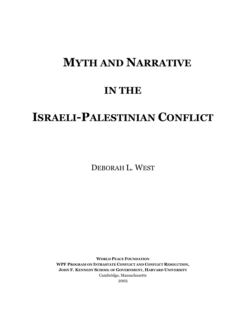# **MYTH AND NARRATIVE**

# **IN THE**

# **ISRAELI-PALESTINIAN CONFLICT**

DEBORAH L. WEST

**WORLD PEACE FOUNDATION WPF PROGRAM ON INTRASTATE CONFLICT AND CONFLICT RESOLUTION, JOHN F. KENNEDY SCHOOL OF GOVERNMENT, HARVARD UNIVERSITY** Cambridge, Massachusetts 2003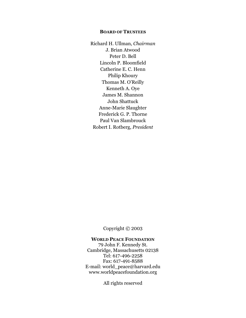#### **BOARD OF TRUSTEES**

Richard H. Ullman, *Chairman*  J. Brian Atwood Peter D. Bell Lincoln P. Bloomfield Catherine E. C. Henn Philip Khoury Thomas M. O'Reilly Kenneth A. Oye James M. Shannon John Shattuck Anne-Marie Slaughter Frederick G. P. Thorne Paul Van Slambrouck Robert I. Rotberg, *President*

Copyright © 2003

#### **WORLD PEACE FOUNDATION**

79 John F. Kennedy St. Cambridge, Massachusetts 02138 Tel: 617-496-2258 Fax: 617-491-8588 E-mail: world\_peace@harvard.edu www.worldpeacefoundation.org

All rights reserved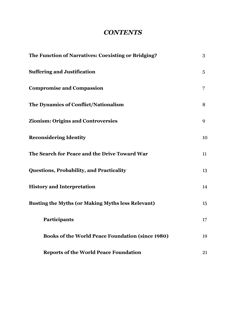# *CONTENTS*

| The Function of Narratives: Coexisting or Bridging?      | 3               |
|----------------------------------------------------------|-----------------|
| <b>Suffering and Justification</b>                       | $5\overline{)}$ |
| <b>Compromise and Compassion</b>                         | 7               |
| The Dynamics of Conflict/Nationalism                     | 8               |
| <b>Zionism: Origins and Controversies</b>                | 9               |
| <b>Reconsidering Identity</b>                            | 10              |
| The Search for Peace and the Drive Toward War            | 11              |
| <b>Questions, Probability, and Practicality</b>          | 13              |
| <b>History and Interpretation</b>                        | 14              |
| <b>Busting the Myths (or Making Myths less Relevant)</b> | 15              |
| Participants                                             | 17              |
| <b>Books of the World Peace Foundation (since 1980)</b>  | 19              |
| <b>Reports of the World Peace Foundation</b>             | 21              |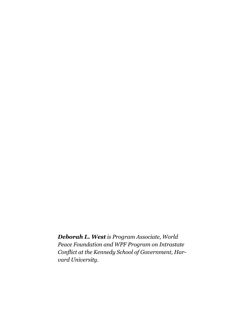*Deborah L. West is Program Associate, World Peace Foundation and WPF Program on Intrastate Conflict at the Kennedy School of Government, Harvard University.*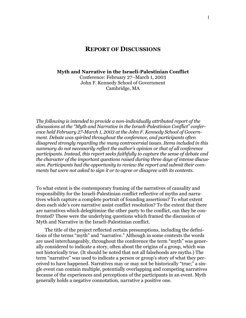#### **REPORT OF DISCUSSIONS**

#### **Myth and Narrative in the Israeli-Palestinian Conflict**

Conference: February 27–March 1, 2003 John F. Kennedy School of Government Cambridge, MA

*The following is intended to provide a non-individually attributed report of the discussions at the "Myth and Narrative in the Israeli-Palestinian Conflict" conference held February 27-March 1, 2003 at the John F. Kennedy School of Government. Debate was spirited throughout the conference, and participants often disagreed strongly regarding the many controversial issues. Items included in this summary do not necessarily reflect the author's opinion or that of all conference participants. Instead, this report seeks faithfully to capture the sense of debate and the character of the important questions raised during three days of intense discussion. Participants had the opportunity to review the report and submit their comments but were not asked to sign it or to agree or disagree with its contents.* 

To what extent is the contemporary framing of the narratives of causality and responsibility for the Israeli-Palestinian conflict reflective of myths and narratives which capture a complete portrait of founding assertions? To what extent does each side's core narrative assist conflict resolution? To the extent that there are narratives which delegitimize the other party to the conflict, can they be confronted? These were the underlying questions which framed the discussion of Myth and Narrative in the Israeli-Palestinian conflict.

The title of the project reflected certain presumptions, including the definitions of the terms "myth" and "narrative." Although in some contexts the words are used interchangeably, throughout the conference the term "myth" was generally considered to indicate a story, often about the origins of a group, which was not historically true. (It should be noted that not all falsehoods are myths.) The term "narrative" was used to indicate a person or group's story of what they perceived to have happened. Narratives may or may not be historically "true;" a single event can contain multiple, potentially overlapping and competing narratives because of the experiences and perceptions of the participants in an event. Myth generally holds a negative connotation, narrative a positive one.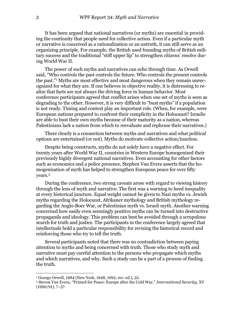It has been argued that national narratives (or myths) are essential in providing the continuity that people need for collective action. Even if a particular myth or narrative is conceived as a rationalization or an untruth, it can still serve as an organizing principle. For example, the British used founding myths of British military success and the traditional "stiff upper lip" to strengthen citizens' resolve during World War II.

The power of such myths and narratives can echo through time. As Orwell said, "Who controls the past controls the future. Who controls the present controls the past.["1 M](#page-7-0)yths are most effective and most dangerous when they remain unrecognized for what they are. If one believes in objective reality, it is distressing to realize that facts are not always the driving force in human behavior. Most conference participants agreed that conflict arises when one set of myths is seen as degrading to the other. However, it is very difficult to "bust myths" if a population is not ready. Timing and context play an important role. (When, for example, were European nations prepared to confront their complicity in the Holocaust? Israelis are able to bust their own myths because of their maturity as a nation, whereas Palestinians lack a nation from which to reevaluate and rephrase their narratives.)

There clearly is a connection between myths and narratives and what political options are entertained (or not). Myths do motivate collective action/inaction.

Despite being constructs, myths do not solely have a negative effect. For twenty years after World War II, countries in Western Europe homogenized their previously highly divergent national narratives. Even accounting for other factors such as economics and a police presence, Stephen Van Evera asserts that the homogenization of myth has helped to strengthen European peace for over fifty years.[2](#page-7-1)

During the conference, two strong caveats arose with regard to viewing history through the lens of myth and narrative. The first was a warning to heed inequality at every historical juncture. Equal weight cannot be given to Nazi myths vs. Jewish myths regarding the Holocaust, Afrikaner mythology and British mythology regarding the Anglo-Boer War, or Palestinian myth vs. Israeli myth. Another warning concerned how easily even seemingly positive myths can be turned into destructive propaganda and ideology. This problem can best be avoided through a scrupulous search for truth and justice. The participants in the conference largely agreed that intellectuals hold a particular responsibility for revising the historical record and reinforcing those who try to tell the truth.

Several participants noted that there was no contradiction between paying attention to myths and being concerned with truth. Those who study myth and narrative must pay careful attention to the persons who propagate which myths and which narratives, and why. Such a study can be a part of a process of finding the truth.

 $\overline{a}$ 

<span id="page-7-1"></span><span id="page-7-0"></span>

<sup>&</sup>lt;sup>1</sup> George Orwell, *1984* (New York, 1948, 1992, rev. ed.), 32.<br><sup>2</sup> Steven Van Evera, "Primed for Peace: Europe after the Cold War," *International Security*, XV (1990/91), 7–57.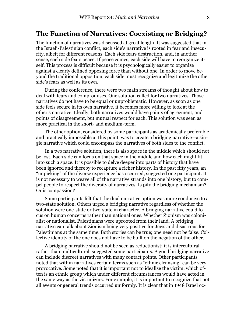#### **The Function of Narratives: Coexisting or Bridging?**

The function of narratives was discussed at great length. It was suggested that in the Israeli-Palestinian conflict, each side's narrative is rooted in fear and insecurity, albeit for different reasons. Each side fears destruction, and, in another sense, each side fears peace. If peace comes, each side will have to reorganize itself. This process is difficult because it is psychologically easier to organize against a clearly defined opposing force than without one. In order to move beyond the traditional opposition, each side must recognize and legitimize the other side's fears as well as its own.

During the conference, there were two main streams of thought about how to deal with fears and compromises. One solution called for two narratives. Those narratives do not have to be equal or unproblematic. However, as soon as one side feels secure in its own narrative, it becomes more willing to look at the other's narrative. Ideally, both narratives would have points of agreement, and points of disagreement, but mutual respect for each. This solution was seen as more practical in the short- and medium-term.

The other option, considered by some participants as academically preferable and practically impossible at this point, was to create a bridging narrative—a single narrative which could encompass the narratives of both sides to the conflict.

In a two narrative solution, there is also space in the middle which should not be lost. Each side can focus on that space in the middle and how each might fit into such a space. It is possible to delve deeper into parts of history that have been ignored and thereby to recapture a richer history. In the past fifty years, an "unpicking" of the diverse experience has occurred, suggested one participant. It is not necessary to weave all of the narrative strands into one history, but to compel people to respect the diversity of narratives. Is pity the bridging mechanism? Or is compassion?

Some participants felt that the dual narrative option was more conducive to a two-state solution. Others urged a bridging narrative regardless of whether the solution were one-state or two-state in character. A bridging narrative could focus on human concerns rather than national ones. Whether Zionism was colonialist or nationalist, Palestinians were uprooted from their land. A bridging narrative can talk about Zionism being very positive for Jews and disastrous for Palestinians at the same time. Both stories can be true; one need not be false. Collective identity of the one does not have to be built on the negation of the other.

A bridging narrative should not be seen as reductionist; it is intercultural rather than multicultural, suggested some participants. A good bridging narrative can include discreet narratives with many contact points. Other participants noted that within narratives certain terms such as "ethnic cleansing" can be very provocative. Some noted that it is important not to idealize the victim, which often is an ethnic group which under different circumstances would have acted in the same way as the victimizers. For example, it is important to recognize that not all events or general trends occurred uniformly. It is clear that in 1948 Israel oc-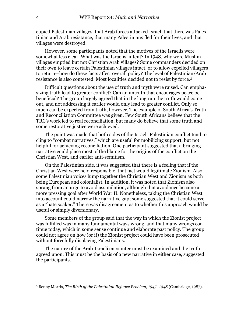cupied Palestinian villages, that Arab forces attacked Israel, that there was Palestinian and Arab resistance, that many Palestinians fled for their lives, and that villages were destroyed.

However, some participants noted that the motives of the Israelis were somewhat less clear. What was the Israelis' intent? In 1948, why were Muslim villages emptied but not Christian Arab villages? Some commanders decided on their own to leave certain Palestinian villages intact, or to allow expelled villagers to return—how do these facts affect overall policy? The level of Palestinian/Arab resistance is also contested. Most localities decided not to resist by force.[3](#page-9-0)

Difficult questions about the use of truth and myth were raised. Can emphasizing truth lead to greater conflict? Can an untruth that encourages peace be beneficial? The group largely agreed that in the long run the truth would come out, and not addressing it earlier would only lead to greater conflict. Only so much can be expected from truth, however. The example of South Africa's Truth and Reconciliation Committee was given. Few South Africans believe that the TRC's work led to real reconciliation, but many do believe that some truth and some restorative justice were achieved.

The point was made that both sides of the Israeli-Palestinian conflict tend to cling to "combat narratives," which are useful for mobilizing support, but not helpful for achieving reconciliation. One participant suggested that a bridging narrative could place most of the blame for the origins of the conflict on the Christian West, and earlier anti-semitism.

On the Palestinian side, it was suggested that there is a feeling that if the Christian West were held responsible, that fact would legitimate Zionism. Also, some Palestinian voices lump together the Christian West and Zionism as both being European and colonialist. In addition, it was noted that Zionism also sprang from an urge to avoid assimilation, although that avoidance became a more pressing goal after World War II. Nonetheless, taking the Christian West into account could narrow the narrative gap; some suggested that it could serve as a "hate soaker." There was disagreement as to whether this approach would be useful or simply diversionary.

Some members of the group said that the way in which the Zionist project was fulfilled was in many fundamental ways wrong, and that many wrongs continue today, which in some sense continue and elaborate past policy. The group could not agree on how (or if) the Zionist project could have been prosecuted without forcefully displacing Palestinians.

The nature of the Arab-Israeli encounter must be examined and the truth agreed upon. This must be the basis of a new narrative in either case, suggested the participants.

1

<span id="page-9-0"></span><sup>3</sup> Benny Morris, *The Birth of the Palestinian Refugee Problem, 1947–1948* (Cambridge, 1987).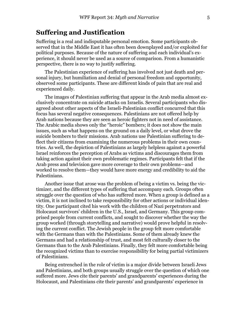### **Suffering and Justification**

Suffering is a real and indisputable personal emotion. Some participants observed that in the Middle East it has often been downplayed and/or exploited for political purposes. Because of the nature of suffering and each individual's experience, it should never be used as a source of comparison. From a humanistic perspective, there is no way to justify suffering.

The Palestinian experience of suffering has involved not just death and personal injury, but humiliation and denial of personal freedom and opportunity, observed some participants. These are different kinds of pain that are real and experienced daily.

The images of Palestinian suffering that appear in the Arab media almost exclusively concentrate on suicide attacks on Israelis. Several participants who disagreed about other aspects of the Israeli-Palestinian conflict concurred that this focus has several negative consequences. Palestinians are not offered help by Arab nations because they are seen as heroic fighters not in need of assistance. The Arabic media shows only the "heroic" bombers; it does not show the main issues, such as what happens on the ground on a daily level, or what drove the suicide bombers to their missions. Arab nations use Palestinian suffering to deflect their citizens from examining the numerous problems in their own countries. As well, the depiction of Palestinians as largely helpless against a powerful Israel reinforces the perception of Arabs as victims and discourages them from taking action against their own problematic regimes. Participants felt that if the Arab press and television gave more coverage to their own problems—and worked to resolve them—they would have more energy and credibility to aid the Palestinians.

Another issue that arose was the problem of being a victim vs. being the victimizer, and the different types of suffering that accompany each. Groups often struggle over the question of who has suffered more. When a group is defined as a victim, it is not inclined to take responsibility for other actions or individual identity. One participant cited his work with the children of Nazi perpetrators and Holocaust survivors' children in the U.S., Israel, and Germany. This group comprised people from current conflicts, and sought to discover whether the way the group worked (through storytelling and narrative) would prove helpful in resolving the current conflict. The Jewish people in the group felt more comfortable with the Germans than with the Palestinians. Some of them already knew the Germans and had a relationship of trust, and most felt culturally closer to the Germans than to the Arab Palestinians. Finally, they felt more comfortable being the recognized victims than to exercise responsibility for being partial victimizers of Palestinians.

Being entrenched in the role of victim is a major divide between Israeli Jews and Palestinians, and both groups usually struggle over the question of which one suffered more. Jews cite their parents' and grandparents' experiences during the Holocaust, and Palestinians cite their parents' and grandparents' experience in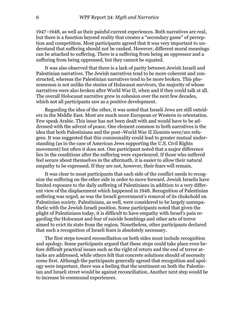1947–1948, as well as their painful current experiences. Both narratives are real, but there is a function beyond reality that creates a "secondary game" of perception and competition. Most participants agreed that it was very important to understand that suffering should not be ranked. However, different moral meanings can be attached to suffering. There is a suffering from being an oppressor and a suffering from being oppressed, but they cannot be equated.

It was also observed that there is a lack of parity between Jewish Israeli and Palestinian narratives. The Jewish narratives tend to be more coherent and constructed, whereas the Palestinian narratives tend to be more broken. This phenomenon is not unlike the stories of Holocaust survivors, the majority of whose narratives were also broken after World War II, when and if they could talk at all. The overall Holocaust narrative grew in cohesion over the next few decades, which not all participants saw as a positive development.

Regarding the idea of the other, it was noted that Israeli Jews are still outsiders in the Middle East. Most are much more European or Western in orientation. Few speak Arabic. This issue has not been dealt with and would have to be addressed with the advent of peace. One element common to both narratives is the idea that both Palestinians and the post–World War II Zionists were/are refugees. It was suggested that this commonality could lead to greater mutual understanding (as in the case of American Jews supporting the U.S. Civil Rights movement) but often it does not. One participant noted that a major difference lies in the conditions after the suffering were experienced. If those who suffered feel secure about themselves in the aftermath, it is easier to allow their natural empathy to be expressed. If they are not, however, their fears will remain.

It was clear to most participants that each side of the conflict needs to recognize the suffering on the other side in order to move forward. Jewish Israelis have limited exposure to the daily suffering of Palestinians in addition to a very different view of the displacement which happened in 1948. Recognition of Palestinian suffering was urged, as was the Israeli government's removal of its chokehold on Palestinian society. Palestinians, as well, were considered to be largely unempathetic with the Jewish Israeli position. Some participants noted that given the plight of Palestinians today, it is difficult to have empathy with Israel's pain regarding the Holocaust and fear of suicide bombings and other acts of terror aimed to evict its state from the region. Nonetheless, other participants declared that such a recognition of Israeli fears is absolutely necessary.

The first steps toward reconciliation on both sides must include recognition and apology. Some participants argued that these steps could take place even before difficult practical issues such as the right of return and the end of terror attacks are addressed, while others felt that concrete solutions should of necessity come first. Although the participants generally agreed that recognition and apology were important, there was a feeling that the sentiment on both the Palestinian and Israeli street would be against reconciliation. Another next step would be to increase bi-communal experiences.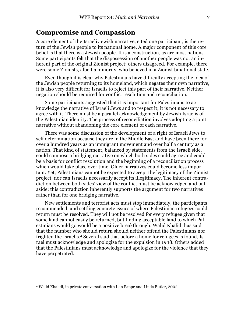#### **Compromise and Compassion**

A core element of the Israeli Jewish narrative, cited one participant, is the return of the Jewish people to its national home. A major component of this core belief is that there is a Jewish people. It is a construction, as are most nations. Some participants felt that the dispossession of another people was not an inherent part of the original Zionist project; others disagreed. For example, there were some Zionists, albeit a minority, who believed in a Zionist binational state.

Even though it is clear why Palestinians have difficulty accepting the idea of the Jewish people returning to its homeland, which negates their own narrative, it is also very difficult for Israelis to reject this part of their narrative. Neither negation should be required for conflict resolution and reconciliation.

Some participants suggested that it is important for Palestinians to acknowledge the narrative of Israeli Jews and to respect it; it is not necessary to agree with it. There must be a parallel acknowledgement by Jewish Israelis of the Palestinian identity. The process of reconciliation involves adopting a joint narrative without abandoning the core element of each narrative.

There was some discussion of the development of a right of Israeli Jews to self determination because they are in the Middle East and have been there for over a hundred years as an immigrant movement and over half a century as a nation. That kind of statement, balanced by statements from the Israeli side, could compose a bridging narrative on which both sides could agree and could be a basis for conflict resolution and the beginning of a reconciliation process which would take place over time. Older narratives could become less important. Yet, Palestinians cannot be expected to accept the legitimacy of the Zionist project, nor can Israelis necessarily accept its illegitimacy. The inherent contradiction between both sides' view of the conflict must be acknowledged and put aside; this contradiction inherently supports the argument for two narratives rather than for one bridging narrative.

New settlements and terrorist acts must stop immediately, the participants recommended, and settling concrete issues of where Palestinian refugees could return must be resolved. They will not be resolved for every refugee given that some land cannot easily be returned, but finding acceptable land to which Palestinians would go would be a positive breakthrough. Walid Khalidi has said that the number who should return should neither offend the Palestinians nor frighten the Israelis[.4](#page-12-0) Several said that before a home for refugees is found, Israel must acknowledge and apologize for the expulsion in 1948. Others added that the Palestinians must acknowledge and apologize for the violence that they have perpetrated.

 $\overline{a}$ 

<span id="page-12-0"></span><sup>4</sup> Walid Khalidi, in private conversation with Ilan Pappe and Linda Butler, 2002.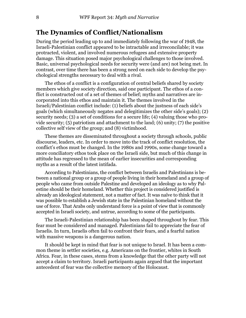## **The Dynamics of Conflict/Nationalism**

During the period leading up to and immediately following the war of 1948, the Israeli-Palestinian conflict appeared to be intractable and irreconcilable; it was protracted, violent, and involved numerous refugees and extensive property damage. This situation posed major psychological challenges to those involved. Basic, universal psychological needs for security were (and are) not being met. In contrast, over time there has been a strong need on each side to develop the psychological strengths necessary to deal with a rival.

The ethos of a conflict is a configuration of central beliefs shared by society members which give society direction, said one participant. The ethos of a conflict is constructed out of a set of themes of belief; myths and narratives are incorporated into this ethos and maintain it. The themes involved in the Israeli/Palestinian conflict include: (1) beliefs about the justness of each side's goals (which simultaneously negates and delegitimizes the other side's goals); (2) security needs; (3) a set of conditions for a secure life; (4) valuing those who provide security; (5) patriotism and attachment to the land; (6) unity; (7) the positive collective self view of the group; and (8) victimhood.

These themes are disseminated throughout a society through schools, public discourse, leaders, etc. In order to move into the track of conflict resolution, the conflict's ethos must be changed. In the 1980s and 1990s, some change toward a more conciliatory ethos took place on the Israeli side, but much of this change in attitude has regressed to the mean of earlier insecurities and corresponding myths as a result of the latest intifada.

According to Palestinians, the conflict between Israelis and Palestinians is between a national group or a group of people living in their homeland and a group of people who came from outside Palestine and developed an ideology as to why Palestine should be their homeland. Whether this project is considered justified is already an ideological statement, not a matter of fact. It was naïve to think that it was possible to establish a Jewish state in the Palestinian homeland without the use of force. That Arabs only understand force is a point of view that is commonly accepted in Israeli society, and untrue, according to some of the participants.

The Israeli-Palestinian relationship has been shaped throughout by fear. This fear must be considered and managed. Palestinians fail to appreciate the fear of Israelis. In turn, Israelis often fail to confront their fears, and a fearful nation with massive weapons is a dangerous nation.

It should be kept in mind that fear is not unique to Israel. It has been a common theme in settler societies, e.g. Americans on the frontier, whites in South Africa. Fear, in these cases, stems from a knowledge that the other party will not accept a claim to territory. Israeli participants again argued that the important antecedent of fear was the collective memory of the Holocaust.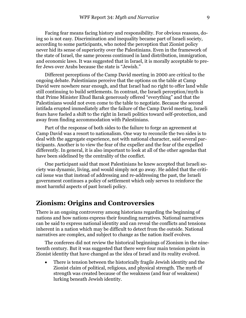Facing fear means facing history and responsibility. For obvious reasons, doing so is not easy. Discrimination and inequality became part of Israeli society, according to some participants, who noted the perception that Zionist policy never hid its sense of superiority over the Palestinians. Even in the framework of the state of Israel, the same process continued in land distribution, immigration, and economic laws. It was suggested that in Israel, it is morally acceptable to prefer Jews over Arabs because the state is "Jewish."

Different perceptions of the Camp David meeting in 2000 are critical to the ongoing debate. Palestinians perceive that the options on the table at Camp David were nowhere near enough, and that Israel had no right to offer land while still continuing to build settlements. In contrast, the Israeli perception/myth is that Prime Minister Ehud Barak generously offered "everything" and that the Palestinians would not even come to the table to negotiate. Because the second intifada erupted immediately after the failure of the Camp David meeting, Israeli fears have fueled a shift to the right in Israeli politics toward self-protection, and away from finding accommodation with Palestinians.

Part of the response of both sides to the failure to forge an agreement at Camp David was a resort to nationalism. One way to reconcile the two sides is to deal with the aggregate experience, not with national character, said several participants. Another is to view the fear of the expeller and the fear of the expelled differently. In general, it is also important to look at all of the other agendas that have been sidelined by the centrality of the conflict.

One participant said that most Palestinians he knew accepted that Israeli society was dynamic, living, and would simply not go away. He added that the critical issue was that instead of addressing and re-addressing the past, the Israeli government continues a policy of settlement which only serves to reinforce the most harmful aspects of past Israeli policy.

#### **Zionism: Origins and Controversies**

There is an ongoing controversy among historians regarding the beginning of nations and how nations express their founding narratives. National narratives can be said to express national identity and can reveal the conflicts and tensions inherent in a nation which may be difficult to detect from the outside. National narratives are complex, and subject to change as the nation itself evolves.

The conferees did not review the historical beginnings of Zionism in the nineteenth century. But it was suggested that there were four main tension points in Zionist identity that have changed as the idea of Israel and its reality evolved.

• There is tension between the historically fragile Jewish identity and the Zionist claim of political, religious, and physical strength. The myth of strength was created because of the weakness (and fear of weakness) lurking beneath Jewish identity.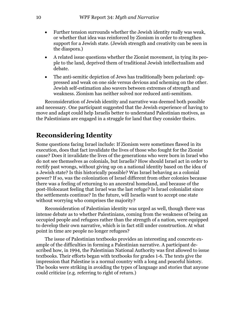- Further tension surrounds whether the Jewish identity really was weak, or whether that idea was reinforced by Zionism in order to strengthen support for a Jewish state. (Jewish strength and creativity can be seen in the diaspora.)
- A related issue questions whether the Zionist movement, in tying its people to the land, deprived them of traditional Jewish intellectualism and debate.
- The anti-semitic depiction of Jews has traditionally been polarized: oppressed and weak on one side versus devious and scheming on the other. Jewish self-estimation also wavers between extremes of strength and weakness. Zionism has neither solved nor reduced anti-semitism.

Reconsideration of Jewish identity and narrative was deemed both possible and necessary. One participant suggested that the Jewish experience of having to move and adapt could help Israelis better to understand Palestinian motives, as the Palestinians are engaged in a struggle for land that they consider theirs.

# **Reconsidering Identity**

Some questions facing Israel include: If Zionism were sometimes flawed in its execution, does that fact invalidate the lives of those who fought for the Zionist cause? Does it invalidate the lives of the generations who were born in Israel who do not see themselves as colonials, but Israelis? How should Israel act in order to rectify past wrongs, without giving up on a national identity based on the idea of a Jewish state? Is this historically possible? Was Israel behaving as a colonial power? If so, was the colonization of Israel different from other colonies because there was a feeling of returning to an ancestral homeland, and because of the post-Holocaust feeling that Israel was the last refuge? Is Israel colonialist since the settlements continue? In the future, will Israelis want to accept one state without worrying who comprises the majority?

Reconsideration of Palestinian identity was urged as well, though there was intense debate as to whether Palestinians, coming from the weakness of being an occupied people and refugees rather than the strength of a nation, were equipped to develop their own narrative, which is in fact still under construction. At what point in time are people no longer refugees?

The issue of Palestinian textbooks provides an interesting and concrete example of the difficulties in forming a Palestinian narrative. A participant described how, in 1994, the Palestinian National Authority was first allowed to issue textbooks. Their efforts began with textbooks for grades 1-6. The texts give the impression that Palestine is a normal country with a long and peaceful history. The books were striking in avoiding the types of language and stories that anyone could criticize (e.g. referring to right of return.)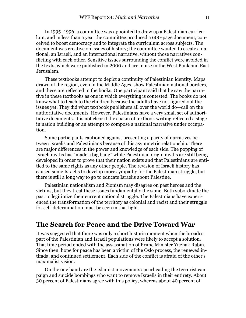In 1995–1996, a committee was appointed to draw up a Palestinian curriculum, and in less than a year the committee produced a 600-page document, conceived to boost democracy and to integrate the curriculum across subjects. The document was creative on issues of history; the committee wanted to create a national, an Israeli, and an international narrative, without those narratives conflicting with each other. Sensitive issues surrounding the conflict were avoided in the texts, which were published in 2000 and are in use in the West Bank and East Jerusalem.

These textbooks attempt to depict a continuity of Palestinian identity. Maps drawn of the region, even in the Middle Ages, show Palestinian national borders, and these are reflected in the books. One participant said that he saw the narrative in these textbooks as one in which everything is contested. The books do not know what to teach to the children because the adults have not figured out the issues yet. They did what textbook publishers all over the world do—call on the authoritative documents. However, Palestinians have a very small set of authoritative documents. It is not clear if the spasm of textbook writing reflected a stage in nation building or an attempt to compose a national narrative under occupation.

Some participants cautioned against presenting a parity of narratives between Israelis and Palestinians because of this asymmetric relationship. There are major differences in the power and knowledge of each side. The popping of Israeli myths has "made a big bang" while Palestinian origin myths are still being developed in order to prove that their nation exists and that Palestinians are entitled to the same rights as any other people. The revision of Israeli history has caused some Israelis to develop more sympathy for the Palestinian struggle, but there is still a long way to go to educate Israelis about Palestine.

Palestinian nationalism and Zionism may disagree on past heroes and the victims, but they treat these issues fundamentally the same. Both subordinate the past to legitimize their current national struggle. The Palestinians have experienced the transformation of the territory as colonial and racist and their struggle for self-determination must be seen in that light.

### **The Search for Peace and the Drive Toward War**

It was suggested that there was only a short historic moment when the broadest part of the Palestinian and Israeli populations were likely to accept a solution. That time period ended with the assassination of Prime Minister Yitzhak Rabin. Since then, hope for peace has been a victim of the Oslo process, the renewed intifada, and continued settlement. Each side of the conflict is afraid of the other's maximalist vision.

On the one hand are the Islamist movements spearheading the terrorist campaign and suicide bombings who want to remove Israelis in their entirety. About 30 percent of Palestinians agree with this policy, whereas about 40 percent of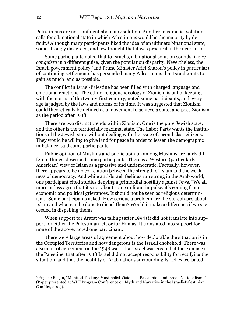Palestinians are not confident about any solution. Another maximalist solution calls for a binational state in which Palestinians would be the majority by default.[5 A](#page-17-0)lthough many participants liked the idea of an ultimate binational state, some strongly disagreed, and few thought that it was practical in the near-term.

Some participants noted that to Israelis, a binational solution sounds like *reconquista* in a different guise, given the population disparity. Nevertheless, the Israeli government policy (and Prime Minister Ariel Sharon's policy in particular) of continuing settlements has persuaded many Palestinians that Israel wants to gain as much land as possible.

The conflict in Israel-Palestine has been filled with charged language and emotional reactions. The ethno-religious ideology of Zionism is out of keeping with the norms of the twenty-first century, noted some participants, and every age is judged by the laws and norms of its time. It was suggested that Zionism could theoretically be defined as a movement to achieve a state, and post-Zionism as the period after 1948.

There are two distinct trends within Zionism. One is the pure Jewish state, and the other is the territorially maximal state. The Labor Party wants the institutions of the Jewish state without dealing with the issue of second class citizens. They would be willing to give land for peace in order to lessen the demographic imbalance, said some participants.

Public opinion of Muslims and public opinion among Muslims are fairly different things, described some participants. There is a Western (particularly American) view of Islam as aggressive and undemocratic. Factually, however, there appears to be no correlation between the strength of Islam and the weakness of democracy. And while anti-Israeli feelings run strong in the Arab world, one participant cited studies denying a primordial hostility against Jews. "We all more or less agree that it's not about some militant impulse, it's coming from economic and political grievances. It should not be seen as religious determinism." Some participants asked: How serious a problem are the stereotypes about Islam and what can be done to dispel them? Would it make a difference if we succeeded in dispelling them?

When support for Arafat was falling (after 1994) it did not translate into support for either the Palestinian left or for Hamas. It translated into support for none of the above, noted one participant.

There were large areas of agreement about how deplorable the situation is in the Occupied Territories and how dangerous is the Israeli chokehold. There was also a lot of agreement on the 1948 war—that Israel was created at the expense of the Palestine, that after 1948 Israel did not accept responsibility for rectifying the situation, and that the hostility of Arab nations surrounding Israel exacerbated

1

<span id="page-17-0"></span><sup>5</sup> Eugene Rogan, "Manifest Destiny: Maximalist Visions of Palestinian and Israeli Nationalisms" (Paper presented at WPF Program Conference on Myth and Narrative in the Israeli-Palestinian Conflict, 2003).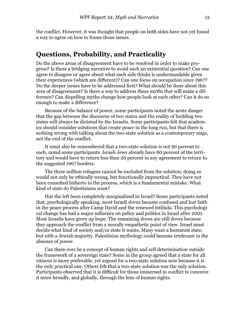the conflict. However, it was thought that people on both sides have not yet found a way to agree on how to frame those issues.

### **Questions, Probability, and Practicality**

Do the above areas of disagreement have to be resolved in order to make progress? Is there a bridging narrative to avoid such an existential question? Can one agree to disagree or agree about what each side thinks is understandable given their experiences (which are different)? Can one focus on occupation since 1967? Do the deeper issues have to be addressed first? What should be done about this area of disagreement? Is there a way to address these myths that will make a difference? Can dispelling myths change how people look at each other? Can it do so enough to make a difference?

Because of the balance of power, some participants noted the acute danger that the gap between the discourse of two states and the reality of building two states will always be dictated by the Israelis. Some participants felt that academics should consider solutions that create peace in the long run, but that there is nothing wrong with talking about the two-state solution as a contemporary stage, not the end of the conflict.

It must also be remembered that a two-state solution is not 50 percent to each, noted some participants. Israeli Jews already have 80 percent of the territory and would have to return less than 20 percent in any agreement to return to the suggested 1967 borders.

The three million refugees cannot be excluded from the solution; doing so would not only be ethically wrong, but functionally impractical. They have not been consulted hitherto in the process, which is a fundamental mistake. What kind of state do Palestinians want?

Has the left been completely marginalized in Israel? Some participants noted that, psychologically speaking, most Israeli doves became confused and lost faith in the peace process after Camp David and the renewed intifada. This psychological change has had a major influence on policy and politics in Israel after 2001. Most Israelis have given up hope. The remaining doves are still doves because they approach the conflict from a morally empathetic point of view. Israel must decide what kind of society and/or state it wants. Many want a humanist state, but with a Jewish majority. Palestinian mythology could become irrelevant in the absence of power.

Can there ever be a concept of human rights and self determination outside the framework of a sovereign state? Some in the group agreed that a state for all citizens is more preferable, yet argued for a two-state solution now because it is the only practical one. Others felt that a two-state solution was the only solution. Participants observed that it is difficult for those immersed in conflict to conceive it more broadly, and globally, through the lens of human rights.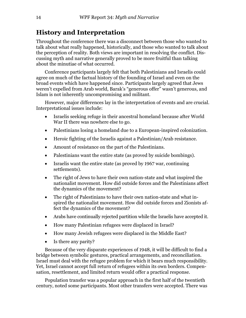# **History and Interpretation**

Throughout the conference there was a disconnect between those who wanted to talk about what really happened, historically, and those who wanted to talk about the perception of reality. Both views are important in resolving the conflict. Discussing myth and narrative generally proved to be more fruitful than talking about the minutiae of what occurred.

Conference participants largely felt that both Palestinians and Israelis could agree on much of the factual history of the founding of Israel and even on the broad events which have happened since. Participants largely agreed that Jews weren't expelled from Arab world, Barak's "generous offer" wasn't generous, and Islam is not inherently uncompromising and militant.

However, major differences lay in the interpretation of events and are crucial. Interpretational issues include:

- Israelis seeking refuge in their ancestral homeland because after World War II there was nowhere else to go.
- Palestinians losing a homeland due to a European-inspired colonization.
- Heroic fighting of the Israelis against a Palestinian/Arab resistance.
- Amount of resistance on the part of the Palestinians.
- Palestinians want the entire state (as proved by suicide bombings).
- Israelis want the entire state (as proved by 1967 war, continuing settlements).
- The right of Jews to have their own nation-state and what inspired the nationalist movement. How did outside forces and the Palestinians affect the dynamics of the movement?
- The right of Palestinians to have their own nation-state and what inspired the nationalist movement. How did outside forces and Zionists affect the dynamics of the movement?
- Arabs have continually rejected partition while the Israelis have accepted it.
- How many Palestinian refugees were displaced in Israel?
- How many Jewish refugees were displaced in the Middle East?
- Is there any parity?

Because of the very disparate experiences of 1948, it will be difficult to find a bridge between symbolic gestures, practical arrangements, and reconciliation. Israel must deal with the refugee problem for which it bears much responsibility. Yet, Israel cannot accept full return of refugees within its own borders. Compensation, resettlement, and limited return would offer a practical response.

Population transfer was a popular approach in the first half of the twentieth century, noted some participants. Most other transfers were accepted. There was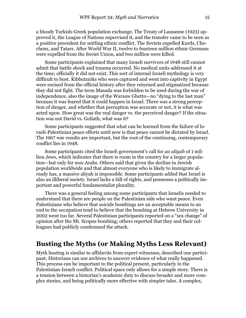a bloody Turkish-Greek population exchange. The Treaty of Lausanne (1923) approved it, the League of Nations supervised it, and the transfer came to be seen as a positive precedent for settling ethnic conflict. The Soviets expelled Kurds, Chechens, and Tatars. After World War II, twelve to fourteen million ethnic Germans were expelled from the Soviet Union, and two million were killed.

Some participants explained that many Israeli survivors of 1948 still cannot admit that battle shock and trauma occurred. No medical units addressed it at the time; officially it did not exist. This sort of internal Israeli mythology is very difficult to bust. Kibbutzniks who were captured and went into captivity in Egypt were excised from the official history after they returned and stigmatized because they did not fight. The term Masada was forbidden to be used during the war of independence, also the image of the Warsaw Ghetto—no "dying to the last man" because it was feared that it could happen in Israel. There was a strong perception of danger, and whether that perception was accurate or not, it is what was acted upon. How great was the real danger vs. the perceived danger? If the situation was not David vs. Goliath, what was it?

Some participants suggested that what can be learned from the failure of Israeli-Palestinian peace efforts until now is that peace cannot be dictated by Israel. The 1967 war results are important, but the root of the continuing, contemporary conflict lies in 1948.

Some participants cited the Israeli government's call for an *aliyah* of 1 million Jews, which indicates that there is room in the country for a larger population—but only for non-Arabs. Others said that given the decline in Jewish population worldwide and that almost everyone who is likely to immigrate already has, a massive aliyah is impossible. Some participants added that Israel is also an illiberal society. Israel lacks a bill of rights, and possesses a politically important and powerful fundamentalist plurality.

There was a general feeling among some participants that Israelis needed to understand that there are people on the Palestinian side who want peace. Even Palestinians who believe that suicide bombings are an acceptable means to an end to the occupation tend to believe that the bombing at Hebrew University in 2002 went too far. Several Palestinian participants reported on a "sea change" of opinion after the Mt. Scopus bombing; others reported that they and their colleagues had publicly condemned the attack.

#### **Busting the Myths (or Making Myths Less Relevant)**

Myth busting is similar to affidavits from expert witnesses, described one participant. Historians can use archives to uncover evidence of what really happened. This process can be important to the political present, particularly in the Palestinian-Israeli conflict. Political space only allows for a simple story. There is a tension between a historian's academic duty to discuss broader and more complex stories, and being politically more effective with simpler tales. A complex,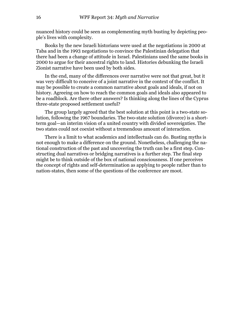nuanced history could be seen as complementing myth busting by depicting people's lives with complexity.

Books by the new Israeli historians were used at the negotiations in 2000 at Taba and in the 1993 negotiations to convince the Palestinian delegation that there had been a change of attitude in Israel. Palestinians used the same books in 2000 to argue for their ancestral rights to land. Histories debunking the Israeli Zionist narrative have been used by both sides.

In the end, many of the differences over narrative were not that great, but it was very difficult to conceive of a joint narrative in the context of the conflict. It may be possible to create a common narrative about goals and ideals, if not on history. Agreeing on how to reach the common goals and ideals also appeared to be a roadblock. Are there other answers? Is thinking along the lines of the Cyprus three-state proposed settlement useful?

The group largely agreed that the best solution at this point is a two-state solution, following the 1967 boundaries. The two-state solution (divorce) is a shortterm goal—an interim vision of a united country with divided sovereignties. The two states could not coexist without a tremendous amount of interaction.

There is a limit to what academics and intellectuals can do. Busting myths is not enough to make a difference on the ground. Nonetheless, challenging the national construction of the past and uncovering the truth can be a first step. Constructing dual narratives or bridging narratives is a further step. The final step might be to think outside of the box of national consciousness. If one perceives the concept of rights and self-determination as applying to people rather than to nation-states, then some of the questions of the conference are moot.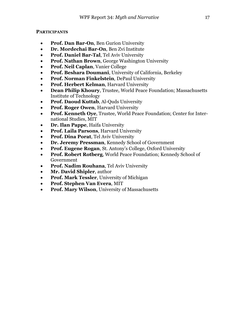#### **PARTICIPANTS**

- **Prof. Dan Bar-On**, Ben Gurion University
- **Dr. Mordechai Bar-On**, Ben Zvi Institute
- **Prof. Daniel Bar-Tal**, Tel Aviv University
- **Prof. Nathan Brown**, George Washington University
- **Prof. Neil Caplan**, Vanier College
- **Prof. Beshara Doumani**, University of California, Berkeley
- **Prof. Norman Finkelstein**, DePaul University
- **Prof. Herbert Kelman**, Harvard University
- **Dean Philip Khoury**, Trustee, World Peace Foundation; Massachusetts Institute of Technology
- **Prof. Daoud Kuttab**, Al-Quds University
- **Prof. Roger Owen**, Harvard University
- **Prof. Kenneth Oye**, Trustee, World Peace Foundation; Center for International Studies, MIT
- **Dr. Ilan Pappe**, Haifa University
- **Prof. Laila Parsons**, Harvard University
- **Prof. Dina Porat**, Tel Aviv University
- **Dr. Jeremy Pressman**, Kennedy School of Government
- **Prof. Eugene Rogan**, St. Antony's College, Oxford University
- **Prof. Robert Rotberg**, World Peace Foundation; Kennedy School of Government
- **Prof. Nadim Rouhana**, Tel Aviv University
- **Mr. David Shipler**, author
- **Prof. Mark Tessler**, University of Michigan
- **Prof. Stephen Van Evera**, MIT
- **Prof. Mary Wilson**, University of Massachusetts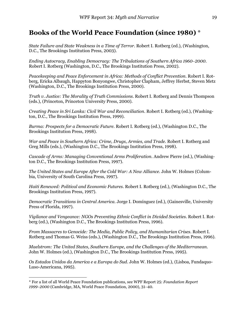## **Books of the World Peace Foundation (since 1980)** [\\*](#page-24-0)

*State Failure and State Weakness in a Time of Terror*. Robert I. Rotberg (ed.), (Washington, D.C., The Brookings Institution Press, 2003).

*Ending Autocracy, Enabling Democracy: The Tribulations of Southern Africa 1960*−*2000*. Robert I. Rotberg (Washington, D.C., The Brookings Institution Press, 2002).

*Peacekeeping and Peace Enforcement in Africa: Methods of Conflict Prevention*. Robert I. Rotberg, Ericka Albaugh, Happyton Bonyongwe, Christopher Clapham, Jeffrey Herbst, Steven Metz (Washington, D.C., The Brookings Institution Press, 2000).

*Truth v. Justice: The Morality of Truth Commissions.* Robert I. Rotberg and Dennis Thompson (eds.), (Princeton, Princeton University Press, 2000).

*Creating Peace in Sri Lanka: Civil War and Reconciliation*. Robert I. Rotberg (ed.), (Washington, D.C., The Brookings Institution Press, 1999).

*Burma: Prospects for a Democratic Future.* Robert I. Rotberg (ed.), (Washington D.C., The Brookings Institution Press, 1998).

*War and Peace in Southern Africa: Crime, Drugs, Armies, and Trade.* Robert I. Rotberg and Greg Mills (eds.), (Washington D.C., The Brookings Institution Press, 1998).

*Cascade of Arms: Managing Conventional Arms Proliferation*. Andrew Pierre (ed.), (Washington D.C., The Brookings Institution Press, 1997).

*The United States and Europe After the Cold War: A New Alliance*. John W. Holmes (Columbia, University of South Carolina Press, 1997).

*Haiti Renewed: Political and Economic Futures*. Robert I. Rotberg (ed.), (Washington D.C., The Brookings Institution Press, 1997).

*Democratic Transitions in Central America*. Jorge I. Domínguez (ed.), (Gainesville, University Press of Florida, 1997).

*Vigilance and Vengeance: NGOs Preventing Ethnic Conflict in Divided Societies*. Robert I. Rotberg (ed.), (Washington D.C., The Brookings Institution Press, 1996).

*From Massacres to Genocide: The Media, Public Policy, and Humanitarian Crises*. Robert I. Rotberg and Thomas G. Weiss (eds.), (Washington D.C., The Brookings Institution Press, 1996).

*Maelstrom: The United States, Southern Europe, and the Challenges of the Mediterranean*. John W. Holmes (ed.), (Washington D.C., The Brookings Institution Press, 1995).

*Os Estados Unidos da America e a Europa do Sud*. John W. Holmes (ed.), (Lisboa, Fundaquo-Luso-Americana, 1995).

 $\overline{a}$ 

<span id="page-24-0"></span><sup>\*</sup> For a list of all World Peace Foundation publications, see WPF Report 25: *Foundation Report 1999*−*2000* (Cambridge, MA, World Peace Foundation, 2000), 31−40.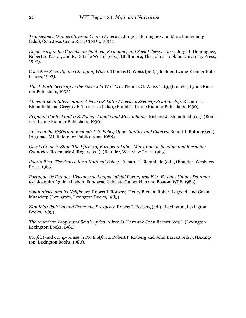*Transiciones Democráticas en Centro América*. Jorge I. Domínguez and Marc Lindenberg (eds.), (San José, Costa Rica, CINDE, 1994).

*Democracy in the Caribbean: Political, Economic, and Social Perspectives*. Jorge I. Domínguez, Robert A. Pastor, and R. DeLisle Worrel (eds.), (Baltimore, The Johns Hopkins University Press, 1993).

*Collective Security in a Changing World*. Thomas G. Weiss (ed.), (Boulder, Lynne Rienner Publishers, 1993).

*Third World Security in the Post-Cold War Era*. Thomas G. Weiss (ed.), (Boulder, Lynne Rienner Publishers, 1993).

*Alternative to Intervention: A New US-Latin American Security Relationship*. Richard J. Bloomfield and Gregory F. Treverton (eds.), (Boulder, Lynne Rienner Publishers, 1990).

*Regional Conflict and U.S. Policy: Angola and Mozambique.* Richard J. Bloomfield (ed.), (Boulder, Lynne Rienner Publishers, 1990).

*Africa in the 1990s and Beyond: U.S. Policy Opportunities and Choices.* Robert I. Rotberg (ed.), (Algonac, MI, Reference Publications, 1988).

*Guests Come to Stay: The Effects of European Labor Migration on Sending and Receiving Countries.* Rosemarie J. Rogers (ed.), (Boulder, Westview Press, 1985).

*Puerto Rico: The Search for a National Policy*. Richard J. Bloomfield (ed.), (Boulder, Westview Press, 1985).

*Portugal, Os Estados Africanos de Lingua Oficial Portuguesa E Os Estados Unidos Da America*. Joaquim Aguiar (Lisbon, Fundaçao Calouste Gulbenkian and Boston, WPF, 1985).

*South Africa and its Neighbors.* Robert I. Rotberg, Henry Bienen, Robert Legvold, and Gavin Maasdorp (Lexington, Lexington Books, 1985).

*Namibia: Political and Economic Prospects.* Robert I. Rotberg (ed.), (Lexington, Lexington Books, 1983).

*The American People and South Africa.* Alfred O. Hero and John Barratt (eds.), (Lexington, Lexington Books, 1981).

*Conflict and Compromise in South Africa.* Robert I. Rotberg and John Barratt (eds.), (Lexington, Lexington Books, 1980).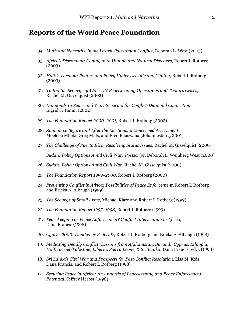### **Reports of the World Peace Foundation**

- 34. *Myth and Narrative in the Israeli-Palestinian Conflict*, Deborah L. West (2003)
- 33*. Africa's Discontent: Coping with Human and Natural Disasters*, Robert I. Rotberg (2003)
- 32. *Haiti's Turmoil: Politics and Policy Under Aristide and Clinton*, Robert I. Rotberg (2003)
- 31. *To Rid the Scourge of War: UN Peacekeeping Operations and Today's Crises*, Rachel M. Gisselquist (2002)
- 30. *Diamonds In Peace and War: Severing the Conflict-Diamond Connection*, Ingrid J. Tamm (2002)
- 29. *The Foundation Report 2000*−*2001,* Robert I. Rotberg (2002)
- 28. *Zimbabwe Before and After the Elections: a Concerned Assessment*, Moeletsi Mbeki, Greg Mills, and Fred Phaswana (Johannesburg, 2001)
- 27. *The Challenge of Puerto Rico: Resolving Status Issues*, Rachel M. Gisselquist (2000) *Sudan: Policy Options Amid Civil War: Postscript*, Deborah L. Weinberg West (2000)
- 26. *Sudan: Policy Options Amid Civil War*, Rachel M. Gisselquist (2000)
- 25. *The Foundation Report 1999*−*2000*, Robert I. Rotberg (2000)
- 24. *Preventing Conflict in Africa: Possibilities of Peace Enforcement*, Robert I. Rotberg and Ericka A. Albaugh (1999)
- 23. *The Scourge of Small Arms*, Michael Klare and Robert I. Rotberg (1999)
- 22. *The Foundation Report 1997–1998*, Robert I. Rotberg (1999)
- 21. *Peacekeeping or Peace Enforcement? Conflict Intervention in Africa*, Dana Francis (1998)
- 20. *Cyprus 2000: Divided or Federal?,* Robert I. Rotberg and Ericka A. Albaugh (1998)
- 19. *Mediating Deadly Conflict: Lessons from Afghanistan, Burundi, Cyprus, Ethiopia, Haiti, Israel/Palestine, Liberia, Sierra Leone, & Sri Lanka*, Dana Francis (ed.), (1998)
- 18. *Sri Lanka's Civil War and Prospects for Post-Conflict Resolution*, Lisa M. Kois, Dana Francis, and Robert I. Rotberg (1998)
- 17. *Securing Peace in Africa: An Analysis of Peacekeeping and Peace Enforcement Potential*, Jeffrey Herbst (1998)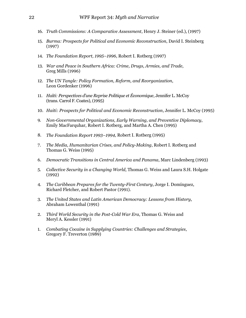- 16. *Truth Commissions: A Comparative Assessment*, Henry J. Steiner (ed.), (1997)
- 15. *Burma: Prospects for Political and Economic Reconstruction*, David I. Steinberg (1997)
- 14. *The Foundation Report, 1995–1996*, Robert I. Rotberg (1997)
- 13. *War and Peace in Southern Africa: Crime, Drugs, Armies, and Trade*, Greg Mills (1996)
- 12. *The UN Tangle: Policy Formation, Reform, and Reorganization*, Leon Gordenker (1996)
- 11. *Haïti: Perspectives d'une Reprise Politique et Économique*, Jennifer L. McCoy (trans. Carrol F. Coates), (1995)
- 10. *Haiti: Prospects for Political and Economic Reconstruction*, Jennifer L. McCoy (1995)
- 9. *Non-Governmental Organizations, Early Warning, and Preventive Diplomacy*, Emily MacFarquhar, Robert I. Rotberg, and Martha A. Chen (1995)
- 8. *The Foundation Report 1993–1994*, Robert I. Rotberg (1995)
- 7. *The Media, Humanitarian Crises, and Policy-Making*, Robert I. Rotberg and Thomas G. Weiss (1995)
- 6. *Democratic Transitions in Central America and Panama*, Marc Lindenberg (1993)
- 5. *Collective Security in a Changing World*, Thomas G. Weiss and Laura S.H. Holgate (1992)
- 4*. The Caribbean Prepares for the Twenty-First Century*, Jorge I. Domínguez, Richard Fletcher, and Robert Pastor (1991).
- 3. *The United States and Latin American Democracy: Lessons from History*, Abraham Lowenthal (1991)
- 2. *Third World Security in the Post-Cold War Era*, Thomas G. Weiss and Meryl A. Kessler (1991)
- 1. *Combating Cocaine in Supplying Countries: Challenges and Strategies*, Gregory F. Treverton (1989)